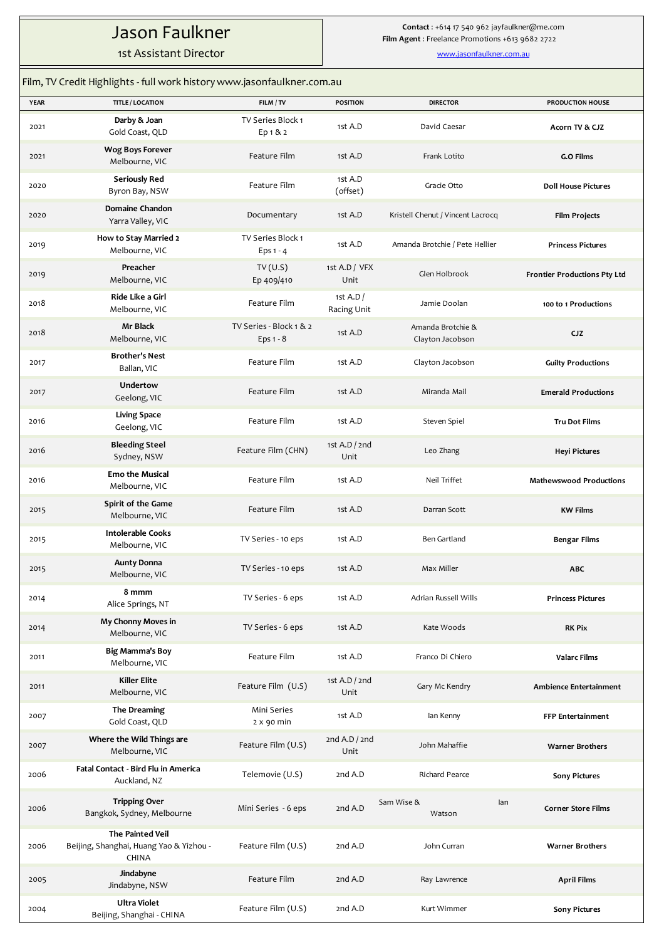## Jason Faulkner

1st Assistant Director

**Contact** : +614 17 540 962 jayfaulkner@me.com

**Film Agent** : Freelance Promotions +613 9682 2722

www.jasonfaulkner.com.au

| Film, TV Credit Highlights - full work history www.jasonfaulkner.com.au |                                                                                    |                                        |                            |                                       |                                     |  |  |
|-------------------------------------------------------------------------|------------------------------------------------------------------------------------|----------------------------------------|----------------------------|---------------------------------------|-------------------------------------|--|--|
| <b>YEAR</b>                                                             | <b>TITLE / LOCATION</b>                                                            | FILM / TV                              | <b>POSITION</b>            | <b>DIRECTOR</b>                       | PRODUCTION HOUSE                    |  |  |
| 2021                                                                    | Darby & Joan<br>Gold Coast, QLD                                                    | TV Series Block 1<br>Ep 1 & 2          | 1st A.D                    | David Caesar                          | Acorn TV & CJZ                      |  |  |
| 2021                                                                    | <b>Wog Boys Forever</b><br>Melbourne, VIC                                          | Feature Film                           | 1st A.D                    | Frank Lotito                          | G.O Films                           |  |  |
| 2020                                                                    | <b>Seriously Red</b><br>Byron Bay, NSW                                             | Feature Film                           | 1st A.D<br>(offset)        | Gracie Otto                           | <b>Doll House Pictures</b>          |  |  |
| 2020                                                                    | <b>Domaine Chandon</b><br>Yarra Valley, VIC                                        | Documentary                            | 1st A.D                    | Kristell Chenut / Vincent Lacrocq     | <b>Film Projects</b>                |  |  |
| 2019                                                                    | How to Stay Married 2<br>Melbourne, VIC                                            | TV Series Block 1<br>Eps $1 - 4$       | 1st A.D                    | Amanda Brotchie / Pete Hellier        | <b>Princess Pictures</b>            |  |  |
| 2019                                                                    | Preacher<br>Melbourne, VIC                                                         | TV(U.S)<br>Ep 409/410                  | 1st A.D / VFX<br>Unit      | Glen Holbrook                         | <b>Frontier Productions Pty Ltd</b> |  |  |
| 2018                                                                    | Ride Like a Girl<br>Melbourne, VIC                                                 | Feature Film                           | 1st A.D $/$<br>Racing Unit | Jamie Doolan                          | 100 to 1 Productions                |  |  |
| 2018                                                                    | Mr Black<br>Melbourne, VIC                                                         | TV Series - Block 1 & 2<br>Eps $1 - 8$ | 1st A.D                    | Amanda Brotchie &<br>Clayton Jacobson | CJZ                                 |  |  |
| 2017                                                                    | <b>Brother's Nest</b><br>Ballan, VIC                                               | Feature Film                           | 1st A.D                    | Clayton Jacobson                      | <b>Guilty Productions</b>           |  |  |
| 2017                                                                    | Undertow<br>Geelong, VIC                                                           | Feature Film                           | 1st A.D                    | Miranda Mail                          | <b>Emerald Productions</b>          |  |  |
| 2016                                                                    | <b>Living Space</b><br>Geelong, VIC                                                | Feature Film                           | 1st A.D                    | Steven Spiel                          | <b>Tru Dot Films</b>                |  |  |
| 2016                                                                    | <b>Bleeding Steel</b><br>Sydney, NSW                                               | Feature Film (CHN)                     | 1st A.D / 2nd<br>Unit      | Leo Zhang                             | <b>Heyi Pictures</b>                |  |  |
| 2016                                                                    | <b>Emo the Musical</b><br>Melbourne, VIC                                           | Feature Film                           | 1st A.D                    | Neil Triffet                          | <b>Mathewswood Productions</b>      |  |  |
| 2015                                                                    | Spirit of the Game<br>Melbourne, VIC                                               | Feature Film                           | 1st A.D                    | Darran Scott                          | <b>KW Films</b>                     |  |  |
| 2015                                                                    | <b>Intolerable Cooks</b><br>Melbourne, VIC                                         | TV Series - 10 eps                     | 1st A.D                    | <b>Ben Gartland</b>                   | <b>Bengar Films</b>                 |  |  |
| 2015                                                                    | <b>Aunty Donna</b><br>Melbourne, VIC                                               | TV Series - 10 eps                     | 1st A.D                    | Max Miller                            | ABC                                 |  |  |
| 2014                                                                    | 8 mmm<br>Alice Springs, NT                                                         | TV Series - 6 eps                      | 1st A.D                    | <b>Adrian Russell Wills</b>           | <b>Princess Pictures</b>            |  |  |
| 2014                                                                    | My Chonny Moves in<br>Melbourne, VIC                                               | TV Series - 6 eps                      | 1st A.D                    | Kate Woods                            | <b>RK Pix</b>                       |  |  |
| 2011                                                                    | <b>Big Mamma's Boy</b><br>Melbourne, VIC                                           | Feature Film                           | 1st A.D                    | Franco Di Chiero                      | <b>Valarc Films</b>                 |  |  |
| 2011                                                                    | <b>Killer Elite</b><br>Melbourne, VIC                                              | Feature Film (U.S)                     | 1st A.D $/$ 2nd<br>Unit    | Gary Mc Kendry                        | Ambience Entertainment              |  |  |
| 2007                                                                    | The Dreaming<br>Gold Coast, QLD                                                    | Mini Series<br>$2 \times 90$ min       | 1st A.D                    | lan Kenny                             | FFP Entertainment                   |  |  |
| 2007                                                                    | Where the Wild Things are<br>Melbourne, VIC                                        | Feature Film (U.S)                     | 2nd A.D $/$ 2nd<br>Unit    | John Mahaffie                         | <b>Warner Brothers</b>              |  |  |
| 2006                                                                    | Fatal Contact - Bird Flu in America<br>Auckland, NZ                                | Telemovie (U.S)                        | 2nd A.D                    | Richard Pearce                        | <b>Sony Pictures</b>                |  |  |
| 2006                                                                    | <b>Tripping Over</b><br>Bangkok, Sydney, Melbourne                                 | Mini Series - 6 eps                    | 2nd A.D                    | Sam Wise &<br>lan<br>Watson           | <b>Corner Store Films</b>           |  |  |
| 2006                                                                    | <b>The Painted Veil</b><br>Beijing, Shanghai, Huang Yao & Yizhou -<br><b>CHINA</b> | Feature Film (U.S)                     | 2nd A.D                    | John Curran                           | <b>Warner Brothers</b>              |  |  |
| 2005                                                                    | Jindabyne<br>Jindabyne, NSW                                                        | Feature Film                           | 2nd A.D                    | Ray Lawrence                          | <b>April Films</b>                  |  |  |
| 2004                                                                    | <b>Ultra Violet</b><br>Beijing, Shanghai - CHINA                                   | Feature Film (U.S)                     | 2nd A.D                    | Kurt Wimmer                           | <b>Sony Pictures</b>                |  |  |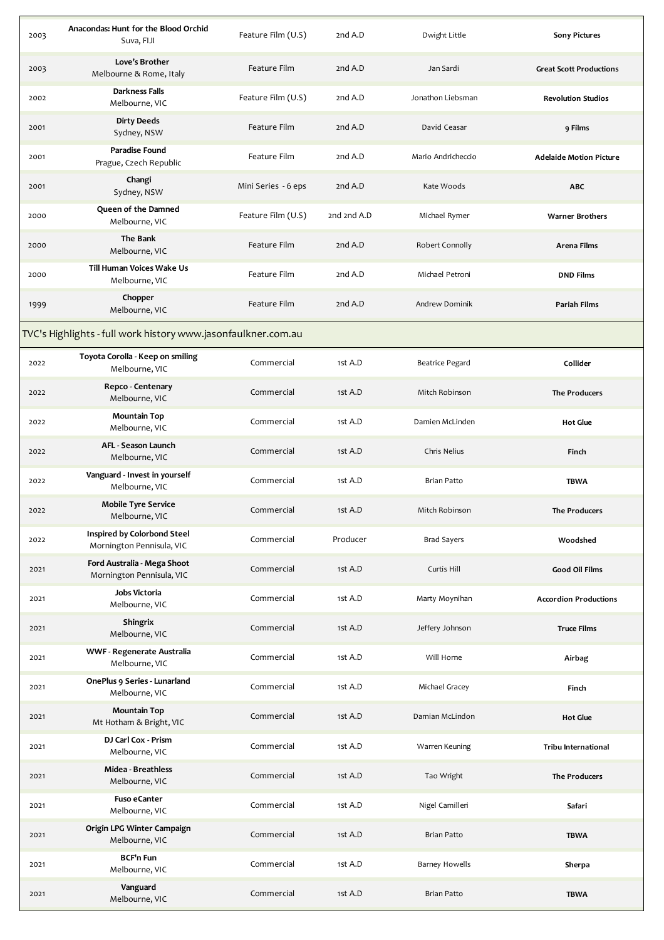| 2003 | Anacondas: Hunt for the Blood Orchid<br>Suva, FIJI            | Feature Film (U.S)  | 2nd A.D     | Dwight Little         | <b>Sony Pictures</b>           |
|------|---------------------------------------------------------------|---------------------|-------------|-----------------------|--------------------------------|
| 2003 | Love's Brother<br>Melbourne & Rome, Italy                     | Feature Film        | 2nd A.D     | Jan Sardi             | <b>Great Scott Productions</b> |
| 2002 | Darkness Falls<br>Melbourne, VIC                              | Feature Film (U.S)  | 2nd A.D     | Jonathon Liebsman     | <b>Revolution Studios</b>      |
| 2001 | <b>Dirty Deeds</b><br>Sydney, NSW                             | Feature Film        | 2nd A.D     | David Ceasar          | 9 Films                        |
| 2001 | Paradise Found<br>Prague, Czech Republic                      | Feature Film        | 2nd A.D     | Mario Andricheccio    | <b>Adelaide Motion Picture</b> |
| 2001 | Changi<br>Sydney, NSW                                         | Mini Series - 6 eps | 2nd A.D     | Kate Woods            | <b>ABC</b>                     |
| 2000 | Queen of the Damned<br>Melbourne, VIC                         | Feature Film (U.S)  | 2nd 2nd A.D | Michael Rymer         | <b>Warner Brothers</b>         |
| 2000 | <b>The Bank</b><br>Melbourne, VIC                             | Feature Film        | 2nd A.D     | Robert Connolly       | Arena Films                    |
| 2000 | Till Human Voices Wake Us<br>Melbourne, VIC                   | Feature Film        | 2nd A.D     | Michael Petroni       | <b>DND Films</b>               |
| 1999 | Chopper<br>Melbourne, VIC                                     | Feature Film        | 2nd A.D     | Andrew Dominik        | Pariah Films                   |
|      | TVC's Highlights - full work history www.jasonfaulkner.com.au |                     |             |                       |                                |
| 2022 | Toyota Corolla - Keep on smiling<br>Melbourne, VIC            | Commercial          | 1st A.D     | Beatrice Pegard       | Collider                       |
| 2022 | Repco - Centenary<br>Melbourne, VIC                           | Commercial          | 1st A.D     | Mitch Robinson        | <b>The Producers</b>           |
| 2022 | <b>Mountain Top</b><br>Melbourne, VIC                         | Commercial          | 1st A.D     | Damien McLinden       | <b>Hot Glue</b>                |
| 2022 | AFL - Season Launch<br>Melbourne, VIC                         | Commercial          | 1st A.D     | Chris Nelius          | Finch                          |
| 2022 | Vanguard - Invest in yourself<br>Melbourne, VIC               | Commercial          | 1st A.D     | <b>Brian Patto</b>    | <b>TBWA</b>                    |
| 2022 | <b>Mobile Tyre Service</b><br>Melbourne, VIC                  | Commercial          | 1st A.D     | Mitch Robinson        | <b>The Producers</b>           |
| 2022 | Inspired by Colorbond Steel<br>Mornington Pennisula, VIC      | Commercial          | Producer    | <b>Brad Sayers</b>    | Woodshed                       |
| 2021 | Ford Australia - Mega Shoot<br>Mornington Pennisula, VIC      | Commercial          | 1st A.D     | Curtis Hill           | Good Oil Films                 |
| 2021 | Jobs Victoria<br>Melbourne, VIC                               | Commercial          | 1st A.D     | Marty Moynihan        | <b>Accordion Productions</b>   |
| 2021 | Shingrix<br>Melbourne, VIC                                    | Commercial          | 1st A.D     | Jeffery Johnson       | <b>Truce Films</b>             |
| 2021 | <b>WWF - Regenerate Australia</b><br>Melbourne, VIC           | Commercial          | 1st A.D     | Will Horne            | Airbag                         |
| 2021 | OnePlus 9 Series - Lunarland<br>Melbourne, VIC                | Commercial          | 1st A.D     | Michael Gracey        | Finch                          |
| 2021 | <b>Mountain Top</b><br>Mt Hotham & Bright, VIC                | Commercial          | 1st A.D     | Damian McLindon       | <b>Hot Glue</b>                |
| 2021 | DJ Carl Cox - Prism<br>Melbourne, VIC                         | Commercial          | 1st A.D     | Warren Keuning        | <b>Tribu International</b>     |
| 2021 | <b>Midea - Breathless</b><br>Melbourne, VIC                   | Commercial          | 1st A.D     | Tao Wright            | The Producers                  |
| 2021 | <b>Fuso eCanter</b><br>Melbourne, VIC                         | Commercial          | 1st A.D     | Nigel Camilleri       | Safari                         |
| 2021 | Origin LPG Winter Campaign<br>Melbourne, VIC                  | Commercial          | 1st A.D     | <b>Brian Patto</b>    | <b>TBWA</b>                    |
| 2021 | <b>BCF'n Fun</b><br>Melbourne, VIC                            | Commercial          | 1st A.D     | <b>Barney Howells</b> | Sherpa                         |
| 2021 | Vanguard<br>Melbourne, VIC                                    | Commercial          | 1st A.D     | <b>Brian Patto</b>    | <b>TBWA</b>                    |